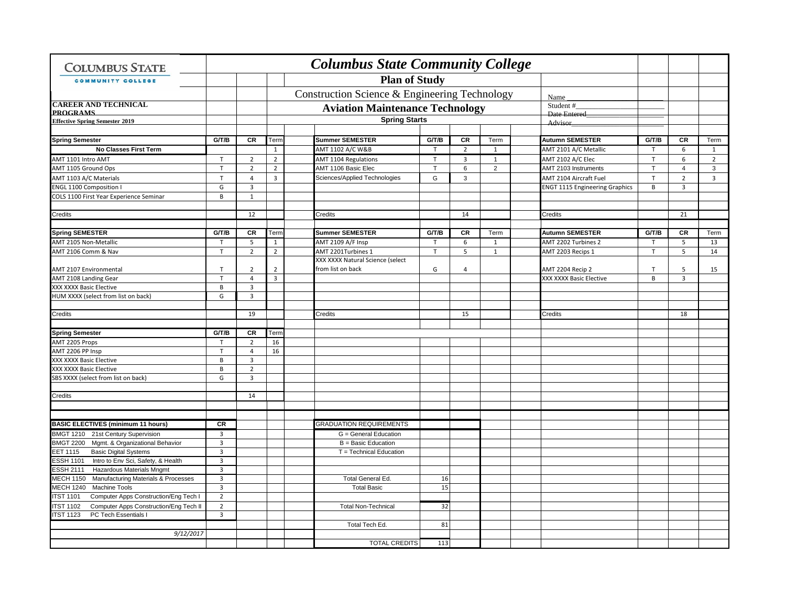| <b>COLUMBUS STATE</b>                                      | <b>Columbus State Community College</b>               |                                  |                                  |  |                                  |              |                         |                |                                             |              |                |                |
|------------------------------------------------------------|-------------------------------------------------------|----------------------------------|----------------------------------|--|----------------------------------|--------------|-------------------------|----------------|---------------------------------------------|--------------|----------------|----------------|
| <b>COMMUNITY COLLEGE</b>                                   | <b>Plan of Study</b>                                  |                                  |                                  |  |                                  |              |                         |                |                                             |              |                |                |
|                                                            | Construction Science & Engineering Technology<br>Name |                                  |                                  |  |                                  |              |                         |                |                                             |              |                |                |
| <b>CAREER AND TECHNICAL</b>                                | Student #<br><b>Aviation Maintenance Technology</b>   |                                  |                                  |  |                                  |              |                         |                |                                             |              |                |                |
| <b>PROGRAMS</b><br><b>Effective Spring Semester 2019</b>   | Date Entered<br><b>Spring Starts</b>                  |                                  |                                  |  |                                  |              |                         |                |                                             |              |                |                |
|                                                            | <b>Advisor</b>                                        |                                  |                                  |  |                                  |              |                         |                |                                             |              |                |                |
| <b>Spring Semester</b>                                     | G/T/B                                                 | CR                               | Term                             |  | <b>Summer SEMESTER</b>           | G/T/B        | CR                      | Term           | <b>Autumn SEMESTER</b>                      | G/T/B        | CR             | Term           |
| No Classes First Term                                      |                                                       |                                  | $\mathbf{1}$                     |  | AMT 1102 A/C W&B                 | T            | $\overline{2}$          | 1              | AMT 2101 A/C Metallic                       | T            | 6              | $\mathbf{1}$   |
| AMT 1101 Intro AMT                                         | $\mathsf T$                                           | $\overline{2}$                   | $\overline{2}$                   |  | <b>AMT 1104 Regulations</b>      | T            | $\overline{\mathbf{3}}$ | $\mathbf{1}$   | AMT 2102 A/C Elec                           | $\top$       | 6              | $\overline{2}$ |
| AMT 1105 Ground Ops                                        | $\top$                                                | $\overline{2}$                   | $\overline{2}$                   |  | AMT 1106 Basic Elec              | $\top$       | 6                       | $\overline{2}$ | AMT 2103 Instruments                        | $\top$       | $\overline{4}$ | 3              |
| AMT 1103 A/C Materials                                     | $\mathsf{T}$                                          | $\overline{4}$                   | $\overline{3}$                   |  | Sciences/Applied Technologies    | G            | 3                       |                | AMT 2104 Aircraft Fuel                      | T            | $\overline{2}$ | $\overline{3}$ |
| <b>ENGL 1100 Composition I</b>                             | G                                                     | 3                                |                                  |  |                                  |              |                         |                | <b>ENGT 1115 Engineering Graphics</b>       | B            | 3              |                |
| COLS 1100 First Year Experience Seminar                    | B                                                     | $\mathbf 1$                      |                                  |  |                                  |              |                         |                |                                             |              |                |                |
|                                                            |                                                       |                                  |                                  |  |                                  |              |                         |                |                                             |              |                |                |
| Credits                                                    |                                                       | 12                               |                                  |  | Credits                          |              | 14                      |                | Credits                                     |              | 21             |                |
|                                                            |                                                       |                                  |                                  |  |                                  |              |                         |                |                                             |              |                |                |
| <b>Spring SEMESTER</b>                                     | G/T/B                                                 | CR                               | Term                             |  | <b>Summer SEMESTER</b>           | G/T/B        | CR                      | Term           | <b>Autumn SEMESTER</b>                      | G/T/B        | CR             | Term           |
| AMT 2105 Non-Metallic                                      | T                                                     | 5                                | $\mathbf{1}$                     |  | AMT 2109 A/F Insp                | $\mathsf{T}$ | 6                       | $\mathbf{1}$   | AMT 2202 Turbines 2                         | T            | 5              | 13             |
| AMT 2106 Comm & Nav                                        | T.                                                    | $\overline{2}$                   | $\overline{2}$                   |  | AMT 2201Turbines 1               | T            | 5                       | $\mathbf{1}$   | AMT 2203 Recips 1                           | $\mathsf{T}$ | 5              | 14             |
|                                                            | $\mathsf T$                                           |                                  |                                  |  | XXX XXXX Natural Science (select | G            |                         |                |                                             | $\mathsf T$  |                |                |
| AMT 2107 Environmental<br>AMT 2108 Landing Gear            | $\mathsf{T}$                                          | $\overline{2}$<br>$\overline{4}$ | $\overline{2}$<br>$\overline{3}$ |  | from list on back                |              | 4                       |                | AMT 2204 Recip 2<br>XXX XXXX Basic Elective | B            | 5<br>3         | 15             |
| XXX XXXX Basic Elective                                    | B                                                     | $\overline{3}$                   |                                  |  |                                  |              |                         |                |                                             |              |                |                |
| HUM XXXX (select from list on back)                        | G                                                     | $\overline{3}$                   |                                  |  |                                  |              |                         |                |                                             |              |                |                |
|                                                            |                                                       |                                  |                                  |  |                                  |              |                         |                |                                             |              |                |                |
| Credits                                                    |                                                       | 19                               |                                  |  | Credits                          |              | 15                      |                | Credits                                     |              | 18             |                |
|                                                            |                                                       |                                  |                                  |  |                                  |              |                         |                |                                             |              |                |                |
| <b>Spring Semester</b>                                     | G/T/B                                                 | CR                               | Term                             |  |                                  |              |                         |                |                                             |              |                |                |
| AMT 2205 Props                                             | $\mathsf{T}$                                          | $\overline{2}$                   | 16                               |  |                                  |              |                         |                |                                             |              |                |                |
| AMT 2206 PP Insp                                           | T.                                                    | $\overline{4}$                   | 16                               |  |                                  |              |                         |                |                                             |              |                |                |
| XXX XXXX Basic Elective                                    | $\mathsf{B}$                                          | $\overline{3}$                   |                                  |  |                                  |              |                         |                |                                             |              |                |                |
| XXX XXXX Basic Elective                                    | В                                                     | $\overline{2}$                   |                                  |  |                                  |              |                         |                |                                             |              |                |                |
| SBS XXXX (select from list on back)                        | G                                                     | $\overline{\mathbf{3}}$          |                                  |  |                                  |              |                         |                |                                             |              |                |                |
|                                                            |                                                       |                                  |                                  |  |                                  |              |                         |                |                                             |              |                |                |
| Credits                                                    |                                                       | 14                               |                                  |  |                                  |              |                         |                |                                             |              |                |                |
|                                                            |                                                       |                                  |                                  |  |                                  |              |                         |                |                                             |              |                |                |
| <b>BASIC ELECTIVES (minimum 11 hours)</b>                  | CR                                                    |                                  |                                  |  | <b>GRADUATION REQUIREMENTS</b>   |              |                         |                |                                             |              |                |                |
| <b>BMGT 1210</b><br>21st Century Supervision               | $\overline{3}$                                        |                                  |                                  |  | G = General Education            |              |                         |                |                                             |              |                |                |
| <b>BMGT 2200</b><br>Mgmt. & Organizational Behavior        | 3                                                     |                                  |                                  |  | <b>B</b> = Basic Education       |              |                         |                |                                             |              |                |                |
| <b>EET 1115</b><br><b>Basic Digital Systems</b>            | 3                                                     |                                  |                                  |  | T = Technical Education          |              |                         |                |                                             |              |                |                |
| Intro to Env Sci, Safety, & Health<br>ESSH 1101            | $\overline{3}$                                        |                                  |                                  |  |                                  |              |                         |                |                                             |              |                |                |
| <b>Hazardous Materials Mngmt</b><br>ESSH 2111              | 3                                                     |                                  |                                  |  |                                  |              |                         |                |                                             |              |                |                |
| <b>MECH 1150</b><br>Manufacturing Materials & Processes    | $\overline{\mathbf{3}}$                               |                                  |                                  |  | Total General Ed.                | 16           |                         |                |                                             |              |                |                |
| <b>MECH 1240</b><br><b>Machine Tools</b>                   | $\overline{3}$                                        |                                  |                                  |  | <b>Total Basic</b>               | 15           |                         |                |                                             |              |                |                |
| <b>ITST 1101</b><br>Computer Apps Construction/Eng Tech I  | $\overline{2}$                                        |                                  |                                  |  |                                  |              |                         |                |                                             |              |                |                |
| Computer Apps Construction/Eng Tech II<br><b>ITST 1102</b> | $\overline{2}$                                        |                                  |                                  |  | <b>Total Non-Technical</b>       | 32           |                         |                |                                             |              |                |                |
| <b>ITST 1123</b><br>PC Tech Essentials                     | $\overline{3}$                                        |                                  |                                  |  |                                  |              |                         |                |                                             |              |                |                |
|                                                            |                                                       |                                  |                                  |  | Total Tech Ed.                   | 81           |                         |                |                                             |              |                |                |
| 9/12/2017                                                  |                                                       |                                  |                                  |  |                                  |              |                         |                |                                             |              |                |                |
|                                                            |                                                       |                                  |                                  |  | <b>TOTAL CREDITS</b>             | 113          |                         |                |                                             |              |                |                |